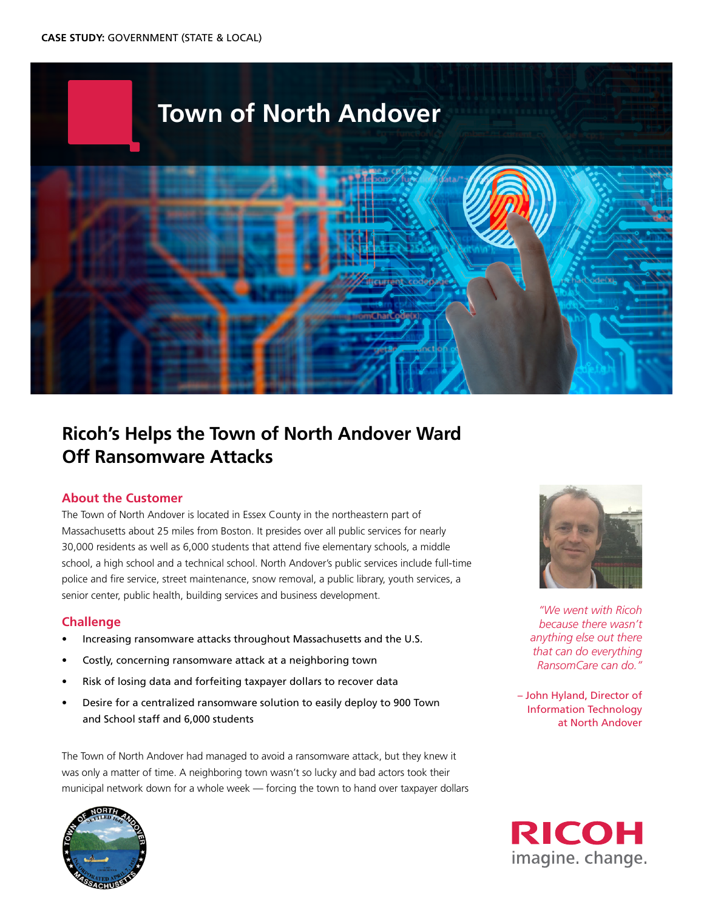

# **Ricoh's Helps the Town of North Andover Ward Off Ransomware Attacks**

## **About the Customer**

The Town of North Andover is located in Essex County in the northeastern part of Massachusetts about 25 miles from Boston. It presides over all public services for nearly 30,000 residents as well as 6,000 students that attend five elementary schools, a middle school, a high school and a technical school. North Andover's public services include full-time police and fire service, street maintenance, snow removal, a public library, youth services, a senior center, public health, building services and business development.

## **Challenge**

- Increasing ransomware attacks throughout Massachusetts and the U.S.
- Costly, concerning ransomware attack at a neighboring town
- Risk of losing data and forfeiting taxpayer dollars to recover data
- Desire for a centralized ransomware solution to easily deploy to 900 Town and School staff and 6,000 students

The Town of North Andover had managed to avoid a ransomware attack, but they knew it was only a matter of time. A neighboring town wasn't so lucky and bad actors took their municipal network down for a whole week — forcing the town to hand over taxpayer dollars





*"We went with Ricoh because there wasn't anything else out there that can do everything RansomCare can do."*

– John Hyland, Director of Information Technology at North Andover

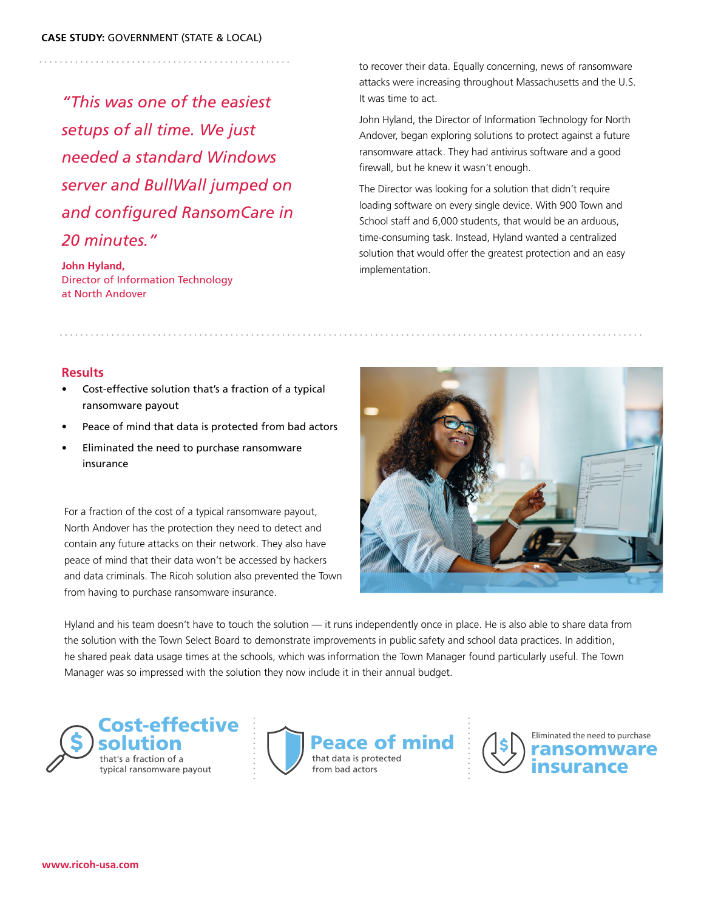*"This was one of the easiest setups of all time. We just needed a standard Windows server and BullWall jumped on and configured RansomCare in 20 minutes."*

**John Hyland,** Director of Information Technology at North Andover

to recover their data. Equally concerning, news of ransomware attacks were increasing throughout Massachusetts and the U.S. It was time to act.

John Hyland, the Director of Information Technology for North Andover, began exploring solutions to protect against a future ransomware attack. They had antivirus software and a good firewall, but he knew it wasn't enough.

The Director was looking for a solution that didn't require loading software on every single device. With 900 Town and School staff and 6,000 students, that would be an arduous, time-consuming task. Instead, Hyland wanted a centralized solution that would offer the greatest protection and an easy implementation.

## **Results**

- Cost-effective solution that's a fraction of a typical ransomware payout
- Peace of mind that data is protected from bad actors
- Eliminated the need to purchase ransomware insurance

For a fraction of the cost of a typical ransomware payout, North Andover has the protection they need to detect and contain any future attacks on their network. They also have peace of mind that their data won't be accessed by hackers and data criminals. The Ricoh solution also prevented the Town from having to purchase ransomware insurance.



Hyland and his team doesn't have to touch the solution — it runs independently once in place. He is also able to share data from the solution with the Town Select Board to demonstrate improvements in public safety and school data practices. In addition, he shared peak data usage times at the schools, which was information the Town Manager found particularly useful. The Town Manager was so impressed with the solution they now include it in their annual budget.

Cost-effective typical ransomware payout





**www.ricoh-usa.com**